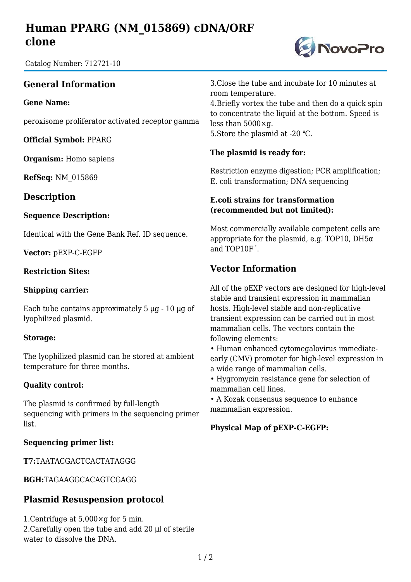# **Human PPARG (NM\_015869) cDNA/ORF clone**

Catalog Number: 712721-10

## **General Information**

**Gene Name:**

peroxisome proliferator activated receptor gamma

**Official Symbol:** PPARG

**Organism:** Homo sapiens

**RefSeq:** NM\_015869

### **Description**

#### **Sequence Description:**

Identical with the Gene Bank Ref. ID sequence.

**Vector:** pEXP-C-EGFP

#### **Restriction Sites:**

#### **Shipping carrier:**

Each tube contains approximately  $5 \mu g - 10 \mu g$  of lyophilized plasmid.

#### **Storage:**

The lyophilized plasmid can be stored at ambient temperature for three months.

#### **Quality control:**

The plasmid is confirmed by full-length sequencing with primers in the sequencing primer list.

#### **Sequencing primer list:**

**T7:**TAATACGACTCACTATAGGG

**BGH:**TAGAAGGCACAGTCGAGG

### **Plasmid Resuspension protocol**

1.Centrifuge at 5,000×g for 5 min. 2.Carefully open the tube and add 20 μl of sterile water to dissolve the DNA.

3.Close the tube and incubate for 10 minutes at room temperature.

4.Briefly vortex the tube and then do a quick spin to concentrate the liquid at the bottom. Speed is less than 5000×g. 5. Store the plasmid at -20 °C.

#### **The plasmid is ready for:**

Restriction enzyme digestion; PCR amplification; E. coli transformation; DNA sequencing

#### **E.coli strains for transformation (recommended but not limited):**

Most commercially available competent cells are appropriate for the plasmid, e.g. TOP10, DH5 $\alpha$ and TOP10F´.

## **Vector Information**

All of the pEXP vectors are designed for high-level stable and transient expression in mammalian hosts. High-level stable and non-replicative transient expression can be carried out in most mammalian cells. The vectors contain the following elements:

• Human enhanced cytomegalovirus immediateearly (CMV) promoter for high-level expression in a wide range of mammalian cells.

• Hygromycin resistance gene for selection of mammalian cell lines.

• A Kozak consensus sequence to enhance mammalian expression.

#### **Physical Map of pEXP-C-EGFP:**